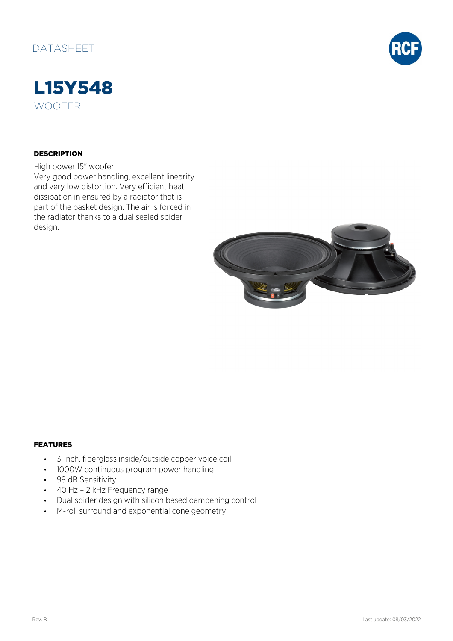

## L15Y548 WOOFER

#### **DESCRIPTION**

High power 15" woofer. Very good power handling, excellent linearity and very low distortion. Very efficient heat dissipation in ensured by a radiator that is part of the basket design. The air is forced in the radiator thanks to a dual sealed spider design.



#### FEATURES

- 3-inch, fiberglass inside/outside copper voice coil
- 1000W continuous program power handling
- 98 dB Sensitivity
- 40 Hz 2 kHz Frequency range
- Dual spider design with silicon based dampening control
- M-roll surround and exponential cone geometry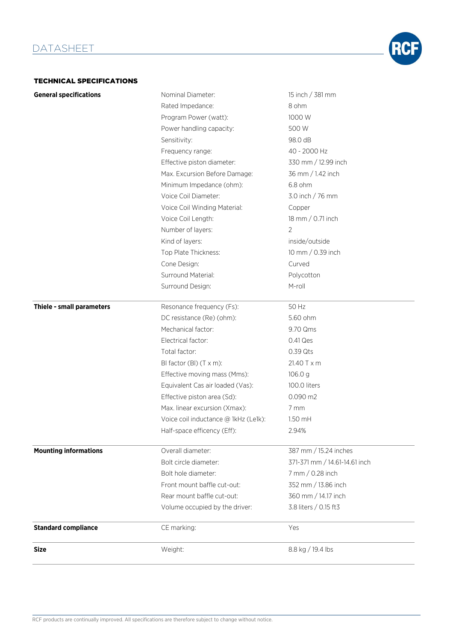# **RCF**

#### TECHNICAL SPECIFICATIONS

| <b>General specifications</b> | Nominal Diameter:                    | 15 inch / 381 mm              |
|-------------------------------|--------------------------------------|-------------------------------|
|                               | Rated Impedance:                     | 8 ohm                         |
|                               | Program Power (watt):                | 1000 W                        |
|                               | Power handling capacity:             | 500 W                         |
|                               | Sensitivity:                         | 98.0 dB                       |
|                               | Frequency range:                     | 40 - 2000 Hz                  |
|                               | Effective piston diameter:           | 330 mm / 12.99 inch           |
|                               | Max. Excursion Before Damage:        | 36 mm / 1.42 inch             |
|                               | Minimum Impedance (ohm):             | $6.8$ ohm                     |
|                               | Voice Coil Diameter:                 | 3.0 inch / 76 mm              |
|                               | Voice Coil Winding Material:         | Copper                        |
|                               | Voice Coil Length:                   | 18 mm / 0.71 inch             |
|                               | Number of layers:                    | $\overline{2}$                |
|                               | Kind of layers:                      | inside/outside                |
|                               | Top Plate Thickness:                 | 10 mm / 0.39 inch             |
|                               | Cone Design:                         | Curved                        |
|                               | Surround Material:                   | Polycotton                    |
|                               | Surround Design:                     | M-roll                        |
| Thiele - small parameters     | Resonance frequency (Fs):            | 50 Hz                         |
|                               | DC resistance (Re) (ohm):            | 5.60 ohm                      |
|                               | Mechanical factor:                   | 9.70 Qms                      |
|                               | Electrical factor:                   | 0.41 Qes                      |
|                               | Total factor:                        | 0.39 Qts                      |
|                               | BI factor (BI) (T x m):              | 21.40 T x m                   |
|                               | Effective moving mass (Mms):         | 106.0 <sub>g</sub>            |
|                               | Equivalent Cas air loaded (Vas):     | 100.0 liters                  |
|                               | Effective piston area (Sd):          | 0.090 m2                      |
|                               | Max. linear excursion (Xmax):        | 7 mm                          |
|                               | Voice coil inductance @ 1kHz (Le1k): | 1.50 mH                       |
|                               | Half-space efficency (Eff):          | 2.94%                         |
| <b>Mounting informations</b>  | Overall diameter:                    | 387 mm / 15.24 inches         |
|                               | Bolt circle diameter:                | 371-371 mm / 14.61-14.61 inch |
|                               | Bolt hole diameter:                  | 7 mm / 0.28 inch              |
|                               | Front mount baffle cut-out:          | 352 mm / 13.86 inch           |
|                               | Rear mount baffle cut-out:           | 360 mm / 14.17 inch           |
|                               | Volume occupied by the driver:       | 3.8 liters / 0.15 ft3         |
| <b>Standard compliance</b>    | CE marking:                          | Yes                           |
| <b>Size</b>                   | Weight:                              | 8.8 kg / 19.4 lbs             |